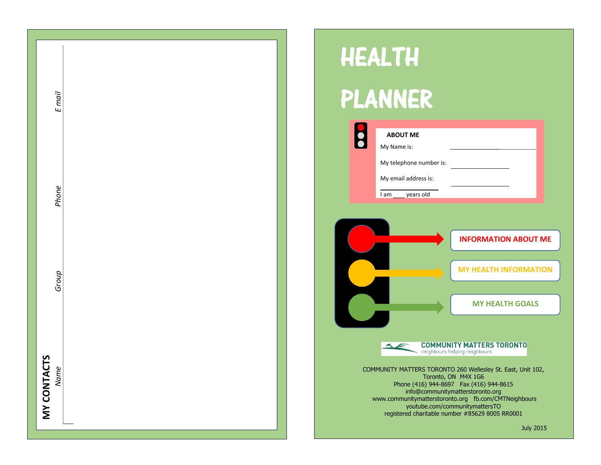| $E$ mail<br>Phone |
|-------------------|
|                   |
| Name              |

# HEALTH

# PLANNER

| <b>ABOUT ME</b>         |                                                                                                  |
|-------------------------|--------------------------------------------------------------------------------------------------|
| My Name is:             |                                                                                                  |
| My telephone number is: |                                                                                                  |
| My email address is:    |                                                                                                  |
| years old<br>I am       |                                                                                                  |
|                         |                                                                                                  |
|                         |                                                                                                  |
|                         | <b>INFORMATION ABOUT ME</b>                                                                      |
|                         |                                                                                                  |
|                         | <b>MY HEALTH INFORMATION</b>                                                                     |
|                         |                                                                                                  |
|                         | <b>MY HEALTH GOALS</b>                                                                           |
|                         |                                                                                                  |
|                         |                                                                                                  |
|                         | <b>COMMUNITY MATTERS TORONTO</b><br>neighbours helping neighbours                                |
|                         | COMMUNITY MATTERS TORONTO 260 Wellesley St. East, Unit 102,                                      |
|                         | Toronto, ON M4X 1G6                                                                              |
|                         | info@communitymatterstoronto.org                                                                 |
|                         |                                                                                                  |
|                         | Phone (416) 944-8697  Fax (416) 944-8615<br>www.communitymatterstoronto.org fb.com/CMTNeighbours |

July 2015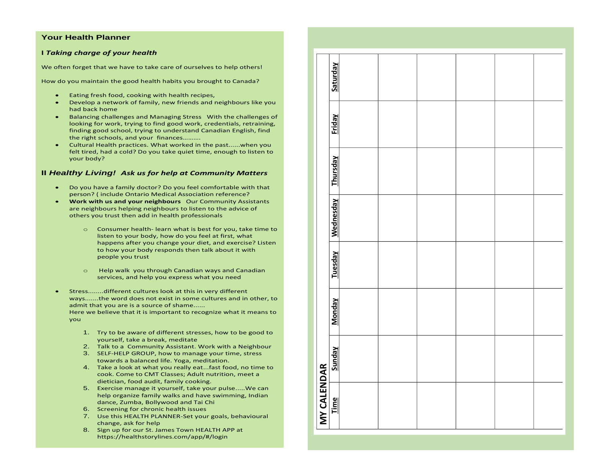#### **Your Health Planner**

#### **I** *Taking charge of your health*

We often forget that we have to take care of ourselves to help others!

How do you maintain the good health habits you brought to Canada?

- Eating fresh food, cooking with health recipes,
- Develop a network of family, new friends and neighbours like you had back home
- Balancing challenges and Managing Stress With the challenges of looking for work, trying to find good work, credentials, retraining, finding good school, trying to understand Canadian English, find the right schools, and your finances……….
- Cultural Health practices. What worked in the past......when you felt tired, had a cold? Do you take quiet time, enough to listen to your body?

#### **II** *Healthy Living! Ask us for help at Community Matters*

- Do you have a family doctor? Do you feel comfortable with that person? ( include Ontario Medical Association reference?
- **Work with us and your neighbours** Our Community Assistants are neighbours helping neighbours to listen to the advice of others you trust then add in health professionals
	- o Consumer health- learn what is best for you, take time to listen to your body, how do you feel at first, what happens after you change your diet, and exercise? Listen to how your body responds then talk about it with people you trust
	- o Help walk you through Canadian ways and Canadian services, and help you express what you need
- Stress........different cultures look at this in very different ways.......the word does not exist in some cultures and in other, to admit that you are is a source of shame...... Here we believe that it is important to recognize what it means to you
	- 1. Try to be aware of different stresses, how to be good to yourself, take a break, meditate
	- 2. Talk to a Community Assistant. Work with a Neighbour
	- 3. SELF-HELP GROUP, how to manage your time, stress towards a balanced life. Yoga, meditation.
	- 4. Take a look at what you really eat...fast food, no time to cook. Come to CMT Classes; Adult nutrition, meet a dietician, food audit, family cooking.
	- 5. Exercise manage it yourself, take your pulse.....We can help organize family walks and have swimming, Indian dance, Zumba, Bollywood and Tai Chi
	- 6. Screening for chronic health issues
	- 7. Use this HEALTH PLANNER-Set your goals, behavioural change, ask for help
	- 8. Sign up for our St. James Town HEALTH APP at https://healthstorylines.com/app/#/login

|                     | Saturday         |  |  |  |
|---------------------|------------------|--|--|--|
|                     | Friday           |  |  |  |
|                     | <b>Thursday</b>  |  |  |  |
|                     | <b>Wednesday</b> |  |  |  |
|                     | <b>Tuesday</b>   |  |  |  |
|                     | <b>Monday</b>    |  |  |  |
|                     |                  |  |  |  |
| MY CALENDAR<br>Time |                  |  |  |  |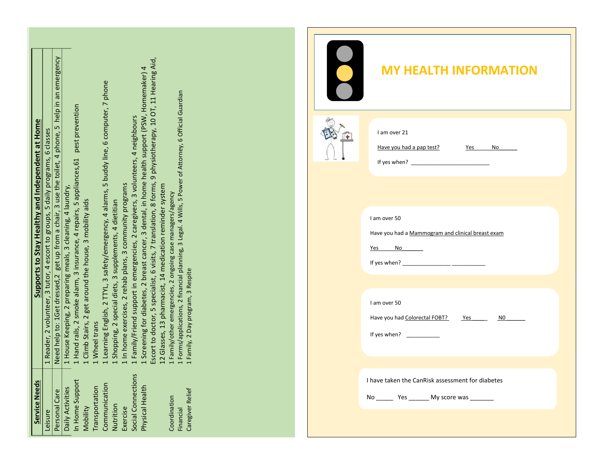|                                                  | emergency<br>$\overline{\mathfrak{s}}$                                                                                                                 |                                                                                                                                                                                                                                                                                                                                                                                                                                                                                                                                 | <b>MY HEALTH INFORMATION</b>                                                          |
|--------------------------------------------------|--------------------------------------------------------------------------------------------------------------------------------------------------------|---------------------------------------------------------------------------------------------------------------------------------------------------------------------------------------------------------------------------------------------------------------------------------------------------------------------------------------------------------------------------------------------------------------------------------------------------------------------------------------------------------------------------------|---------------------------------------------------------------------------------------|
|                                                  | 5 help in                                                                                                                                              | 9 physiotherapy, 10 OT, 11 Hearing Aid,<br>1 Screening for diabetes, 2 breast cancer, 3 dental, in home health support (PSW, Homemaker) 4<br>1 Learning English, 2 TTYL, 3 safety/emergency, 4 alarms, 5 buddy line, 6 computer, 7 phone<br>1 Forms/applications, 2 financial planning, 3 Legal. 4 Wills, 5 Power of Attorney, 6 Official Guardian<br>1 Hand rails, 2 smoke alarm, 3 insurance, 4 repairs, 5 appliances, 61 pest prevention                                                                                     | I am over 21<br>Have you had a pap test?<br>No<br>Yes                                 |
| Supports to Stay Healthy and Independent at Home | 2 volunteer, 3 tutor, 4 escort to groups, 5 daily programs, 6 classes<br>Need help to: 1Get dressed, 2 get up from a chair, 3 use the toilet, 4 phone, | 1 Family/Friend support in emergencies, 2 caregivers, 3 volunteers, 4 neighbours<br>Escort to doctor, 5 specialist, 6 visits, 7 translation, 8 forms,<br>12 Glasses, 13 pharmacist, 14 medication reminder system<br>1 In home exercises, 2 rehab plans, 3 community programs<br>1 House Keeping, 2 preparing meals, 3 cleaning, 4 laundry,<br>1 Family/other emergencies, 2 ongoing case managers/agency<br>1 Climb Stairs, 2 get around the house, 3 mobility aids<br>1 Shopping, 2 special diets, 3 supplements, 4 dietitian | I am over 50<br>Have you had a Mammogram and clinical breast exam<br>No<br>Yes        |
| Reader,                                          | $\overline{\phantom{0}}$                                                                                                                               | Family, 2 Day program, 3 Respite<br>1 Wheel trans                                                                                                                                                                                                                                                                                                                                                                                                                                                                               | I am over 50<br>Have you had Colorectal FOBT?<br>N0<br>Yes<br>If yes when?            |
| <b>Service Needs</b><br>Leisure                  | Personal Care                                                                                                                                          | Social Connections<br>In Home Support<br>Communication<br>Physical Health<br>Transportation<br>Daily Activities<br>Caregiver Relief<br>Coordination<br>Nutrition<br>Mobility<br>Exercise<br>Financial                                                                                                                                                                                                                                                                                                                           | I have taken the CanRisk assessment for diabetes<br>$-$ Yes $-$<br>No<br>My score was |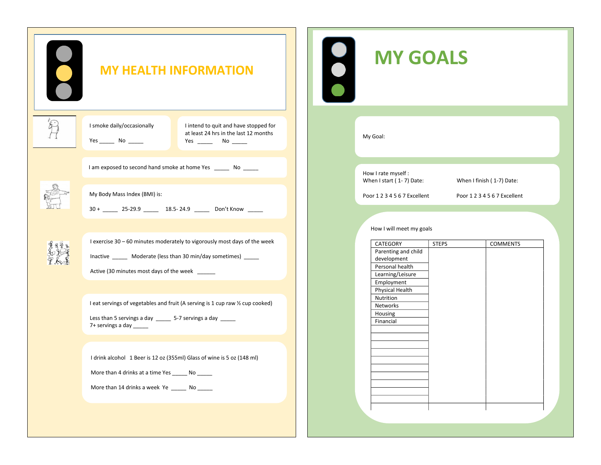| <b>MY HEALTH INFORMATION</b>                                                                                                                                                                    | $\bullet$ |
|-------------------------------------------------------------------------------------------------------------------------------------------------------------------------------------------------|-----------|
| I smoke daily/occasionally<br>I intend to quit and have stopped for<br>at least 24 hrs in the last 12 months                                                                                    |           |
| I am exposed to second hand smoke at home Yes ________ No ______                                                                                                                                |           |
| My Body Mass Index (BMI) is:<br>30 + _____ 25-29.9 _____ 18.5-24.9 _____ Don't Know _____                                                                                                       |           |
| I exercise 30 - 60 minutes moderately to vigorously most days of the week<br>Inactive _______ Moderate (less than 30 min/day sometimes) _____<br>Active (30 minutes most days of the week _____ |           |
| I eat servings of vegetables and fruit (A serving is 1 cup raw $\frac{1}{2}$ cup cooked)<br>Less than 5 servings a day ______ 5-7 servings a day _____<br>7+ servings a day ______              |           |
| I drink alcohol 1 Beer is 12 oz (355ml) Glass of wine is 5 oz (148 ml)<br>More than 4 drinks at a time Yes _______ No ______<br>More than 14 drinks a week Ye _____ No _____                    |           |
|                                                                                                                                                                                                 |           |

## **MY GOALS**

My Goal:

How I rate myself :<br>When I start (1-7) Date:

When I finish ( 1-7) Date:

Poor 1 2 3 4 5 6 7 Excellent Poor 1 2 3 4 5 6 7 Excellent

#### How I will meet my goals

| CATEGORY            | <b>STEPS</b> | <b>COMMENTS</b> |
|---------------------|--------------|-----------------|
| Parenting and child |              |                 |
| development         |              |                 |
| Personal health     |              |                 |
| Learning/Leisure    |              |                 |
| Employment          |              |                 |
| Physical Health     |              |                 |
| Nutrition           |              |                 |
| Networks            |              |                 |
| Housing             |              |                 |
| Financial           |              |                 |
|                     |              |                 |
|                     |              |                 |
|                     |              |                 |
|                     |              |                 |
|                     |              |                 |
|                     |              |                 |
|                     |              |                 |
|                     |              |                 |
|                     |              |                 |
|                     |              |                 |
|                     |              |                 |
|                     |              |                 |
|                     |              |                 |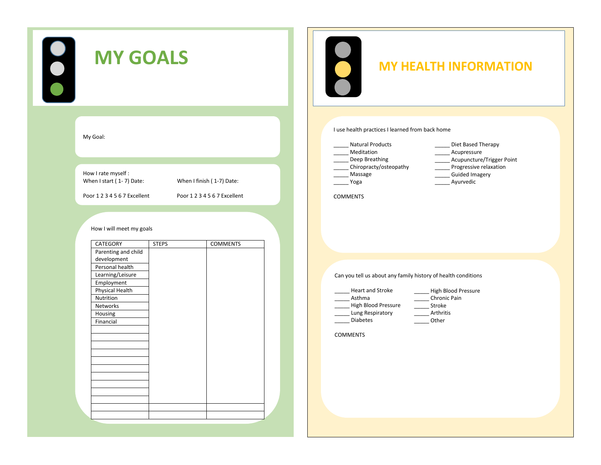| 000<br><b>MY GOALS</b>                                                                                                                                                                                                                        | $\bigcirc$<br><b>MY HEALTH INFORMATION</b>                                                                                                                                                                                                   |
|-----------------------------------------------------------------------------------------------------------------------------------------------------------------------------------------------------------------------------------------------|----------------------------------------------------------------------------------------------------------------------------------------------------------------------------------------------------------------------------------------------|
| My Goal:                                                                                                                                                                                                                                      | I use health practices I learned from back home<br><b>Natural Products</b><br>Diet Based Therapy<br>Meditation<br>Acupressure<br>Acupuncture/Trigger Point<br>Deep Breathing                                                                 |
| How I rate myself :<br>When I start (1-7) Date:<br>When I finish (1-7) Date:<br>Poor 1 2 3 4 5 6 7 Excellent<br>Poor 1234567 Excellent                                                                                                        | Progressive relaxation<br>Chiropracty/osteopathy<br>Massage<br><b>Guided Imagery</b><br>Yoga<br>Ayurvedic<br><b>COMMENTS</b>                                                                                                                 |
| How I will meet my goals<br>CATEGORY<br><b>STEPS</b><br><b>COMMENTS</b><br>Parenting and child<br>development<br>Personal health<br>Learning/Leisure<br>Employment<br><b>Physical Health</b><br>Nutrition<br>Networks<br>Housing<br>Financial | Can you tell us about any family history of health conditions<br>Heart and Stroke<br>High Blood Pressure<br>Chronic Pain<br>Asthma<br>High Blood Pressure<br>Stroke<br>Arthritis<br>Lung Respiratory<br>Diabetes<br>Other<br><b>COMMENTS</b> |